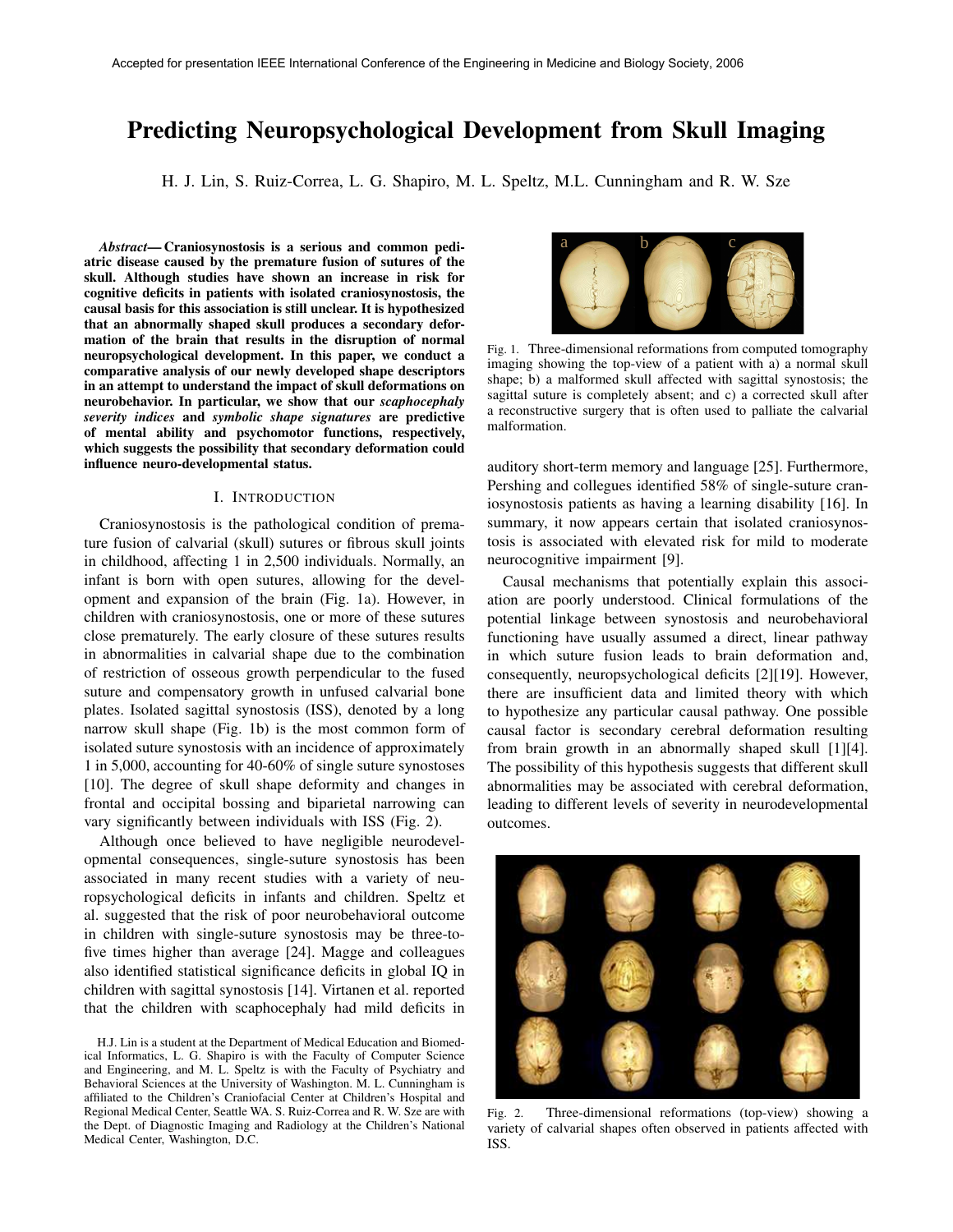# Predicting Neuropsychological Development from Skull Imaging

H. J. Lin, S. Ruiz-Correa, L. G. Shapiro, M. L. Speltz, M.L. Cunningham and R. W. Sze

*Abstract*— Craniosynostosis is a serious and common pediatric disease caused by the premature fusion of sutures of the skull. Although studies have shown an increase in risk for cognitive deficits in patients with isolated craniosynostosis, the causal basis for this association is still unclear. It is hypothesized that an abnormally shaped skull produces a secondary deformation of the brain that results in the disruption of normal neuropsychological development. In this paper, we conduct a comparative analysis of our newly developed shape descriptors in an attempt to understand the impact of skull deformations on neurobehavior. In particular, we show that our *scaphocephaly severity indices* and *symbolic shape signatures* are predictive of mental ability and psychomotor functions, respectively, which suggests the possibility that secondary deformation could influence neuro-developmental status.

## I. INTRODUCTION

Craniosynostosis is the pathological condition of premature fusion of calvarial (skull) sutures or fibrous skull joints in childhood, affecting 1 in 2,500 individuals. Normally, an infant is born with open sutures, allowing for the development and expansion of the brain (Fig. 1a). However, in children with craniosynostosis, one or more of these sutures close prematurely. The early closure of these sutures results in abnormalities in calvarial shape due to the combination of restriction of osseous growth perpendicular to the fused suture and compensatory growth in unfused calvarial bone plates. Isolated sagittal synostosis (ISS), denoted by a long narrow skull shape (Fig. 1b) is the most common form of isolated suture synostosis with an incidence of approximately 1 in 5,000, accounting for 40-60% of single suture synostoses [10]. The degree of skull shape deformity and changes in frontal and occipital bossing and biparietal narrowing can vary significantly between individuals with ISS (Fig. 2).

Although once believed to have negligible neurodevelopmental consequences, single-suture synostosis has been associated in many recent studies with a variety of neuropsychological deficits in infants and children. Speltz et al. suggested that the risk of poor neurobehavioral outcome in children with single-suture synostosis may be three-tofive times higher than average [24]. Magge and colleagues also identified statistical significance deficits in global IQ in children with sagittal synostosis [14]. Virtanen et al. reported that the children with scaphocephaly had mild deficits in



Fig. 1. Three-dimensional reformations from computed tomography imaging showing the top-view of a patient with a) a normal skull shape; b) a malformed skull affected with sagittal synostosis; the sagittal suture is completely absent; and c) a corrected skull after a reconstructive surgery that is often used to palliate the calvarial malformation.

auditory short-term memory and language [25]. Furthermore, Pershing and collegues identified 58% of single-suture craniosynostosis patients as having a learning disability [16]. In summary, it now appears certain that isolated craniosynostosis is associated with elevated risk for mild to moderate neurocognitive impairment [9].

Causal mechanisms that potentially explain this association are poorly understood. Clinical formulations of the potential linkage between synostosis and neurobehavioral functioning have usually assumed a direct, linear pathway in which suture fusion leads to brain deformation and, consequently, neuropsychological deficits [2][19]. However, there are insufficient data and limited theory with which to hypothesize any particular causal pathway. One possible causal factor is secondary cerebral deformation resulting from brain growth in an abnormally shaped skull [1][4]. The possibility of this hypothesis suggests that different skull abnormalities may be associated with cerebral deformation, leading to different levels of severity in neurodevelopmental outcomes.



Fig. 2. Three-dimensional reformations (top-view) showing a variety of calvarial shapes often observed in patients affected with ISS.

H.J. Lin is a student at the Department of Medical Education and Biomedical Informatics, L. G. Shapiro is with the Faculty of Computer Science and Engineering, and M. L. Speltz is with the Faculty of Psychiatry and Behavioral Sciences at the University of Washington. M. L. Cunningham is affiliated to the Children's Craniofacial Center at Children's Hospital and Regional Medical Center, Seattle WA. S. Ruiz-Correa and R. W. Sze are with the Dept. of Diagnostic Imaging and Radiology at the Children's National Medical Center, Washington, D.C.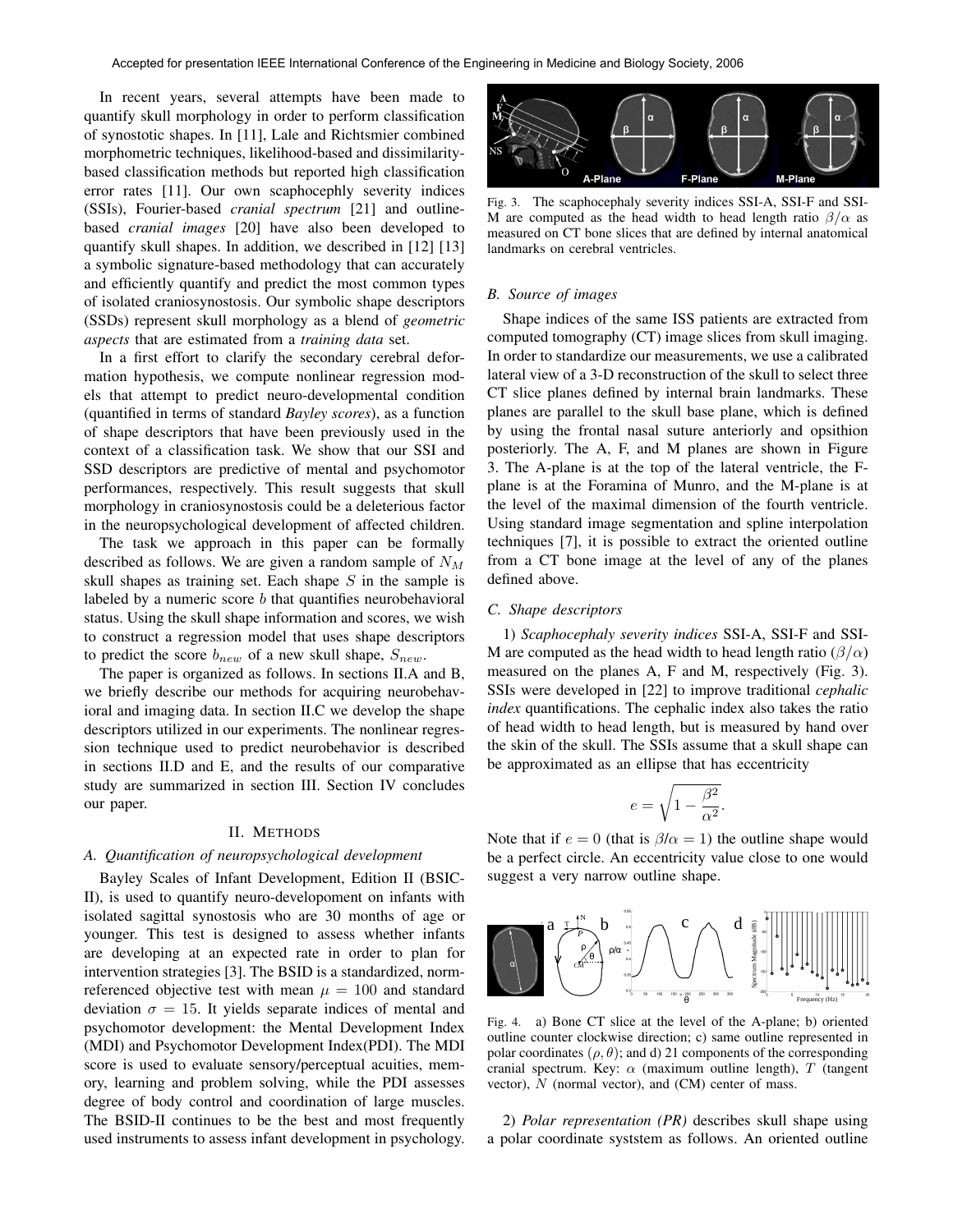In recent years, several attempts have been made to quantify skull morphology in order to perform classification of synostotic shapes. In [11], Lale and Richtsmier combined morphometric techniques, likelihood-based and dissimilaritybased classification methods but reported high classification error rates [11]. Our own scaphocephly severity indices (SSIs), Fourier-based *cranial spectrum* [21] and outlinebased *cranial images* [20] have also been developed to quantify skull shapes. In addition, we described in [12] [13] a symbolic signature-based methodology that can accurately and efficiently quantify and predict the most common types of isolated craniosynostosis. Our symbolic shape descriptors (SSDs) represent skull morphology as a blend of *geometric aspects* that are estimated from a *training data* set.

In a first effort to clarify the secondary cerebral deformation hypothesis, we compute nonlinear regression models that attempt to predict neuro-developmental condition (quantified in terms of standard *Bayley scores*), as a function of shape descriptors that have been previously used in the context of a classification task. We show that our SSI and SSD descriptors are predictive of mental and psychomotor performances, respectively. This result suggests that skull morphology in craniosynostosis could be a deleterious factor in the neuropsychological development of affected children.

The task we approach in this paper can be formally described as follows. We are given a random sample of  $N_M$ skull shapes as training set. Each shape  $S$  in the sample is labeled by a numeric score  $b$  that quantifies neurobehavioral status. Using the skull shape information and scores, we wish to construct a regression model that uses shape descriptors to predict the score  $b_{new}$  of a new skull shape,  $S_{new}$ .

The paper is organized as follows. In sections II.A and B, we briefly describe our methods for acquiring neurobehavioral and imaging data. In section II.C we develop the shape descriptors utilized in our experiments. The nonlinear regression technique used to predict neurobehavior is described in sections II.D and E, and the results of our comparative study are summarized in section III. Section IV concludes our paper.

#### II. METHODS

## *A. Quantification of neuropsychological development*

Bayley Scales of Infant Development, Edition II (BSIC-II), is used to quantify neuro-developoment on infants with isolated sagittal synostosis who are 30 months of age or younger. This test is designed to assess whether infants are developing at an expected rate in order to plan for intervention strategies [3]. The BSID is a standardized, normreferenced objective test with mean  $\mu = 100$  and standard deviation  $\sigma = 15$ . It yields separate indices of mental and psychomotor development: the Mental Development Index (MDI) and Psychomotor Development Index(PDI). The MDI score is used to evaluate sensory/perceptual acuities, memory, learning and problem solving, while the PDI assesses degree of body control and coordination of large muscles. The BSID-II continues to be the best and most frequently used instruments to assess infant development in psychology.



Fig. 3. The scaphocephaly severity indices SSI-A, SSI-F and SSI-M are computed as the head width to head length ratio  $\beta/\alpha$  as measured on CT bone slices that are defined by internal anatomical landmarks on cerebral ventricles.

### *B. Source of images*

Shape indices of the same ISS patients are extracted from computed tomography (CT) image slices from skull imaging. In order to standardize our measurements, we use a calibrated lateral view of a 3-D reconstruction of the skull to select three CT slice planes defined by internal brain landmarks. These planes are parallel to the skull base plane, which is defined by using the frontal nasal suture anteriorly and opsithion posteriorly. The A, F, and M planes are shown in Figure 3. The A-plane is at the top of the lateral ventricle, the Fplane is at the Foramina of Munro, and the M-plane is at the level of the maximal dimension of the fourth ventricle. Using standard image segmentation and spline interpolation techniques [7], it is possible to extract the oriented outline from a CT bone image at the level of any of the planes defined above.

#### *C. Shape descriptors*

1) *Scaphocephaly severity indices* SSI-A, SSI-F and SSI-M are computed as the head width to head length ratio ( $\beta/\alpha$ ) measured on the planes A, F and M, respectively (Fig. 3). SSIs were developed in [22] to improve traditional *cephalic index* quantifications. The cephalic index also takes the ratio of head width to head length, but is measured by hand over the skin of the skull. The SSIs assume that a skull shape can be approximated as an ellipse that has eccentricity

$$
e = \sqrt{1 - \frac{\beta^2}{\alpha^2}}.
$$

Note that if  $e = 0$  (that is  $\beta/\alpha = 1$ ) the outline shape would be a perfect circle. An eccentricity value close to one would suggest a very narrow outline shape.



Fig. 4. a) Bone CT slice at the level of the A-plane; b) oriented outline counter clockwise direction; c) same outline represented in polar coordinates  $(\rho, \theta)$ ; and d) 21 components of the corresponding cranial spectrum. Key:  $\alpha$  (maximum outline length), T (tangent vector),  $N$  (normal vector), and (CM) center of mass.

2) *Polar representation (PR)* describes skull shape using a polar coordinate syststem as follows. An oriented outline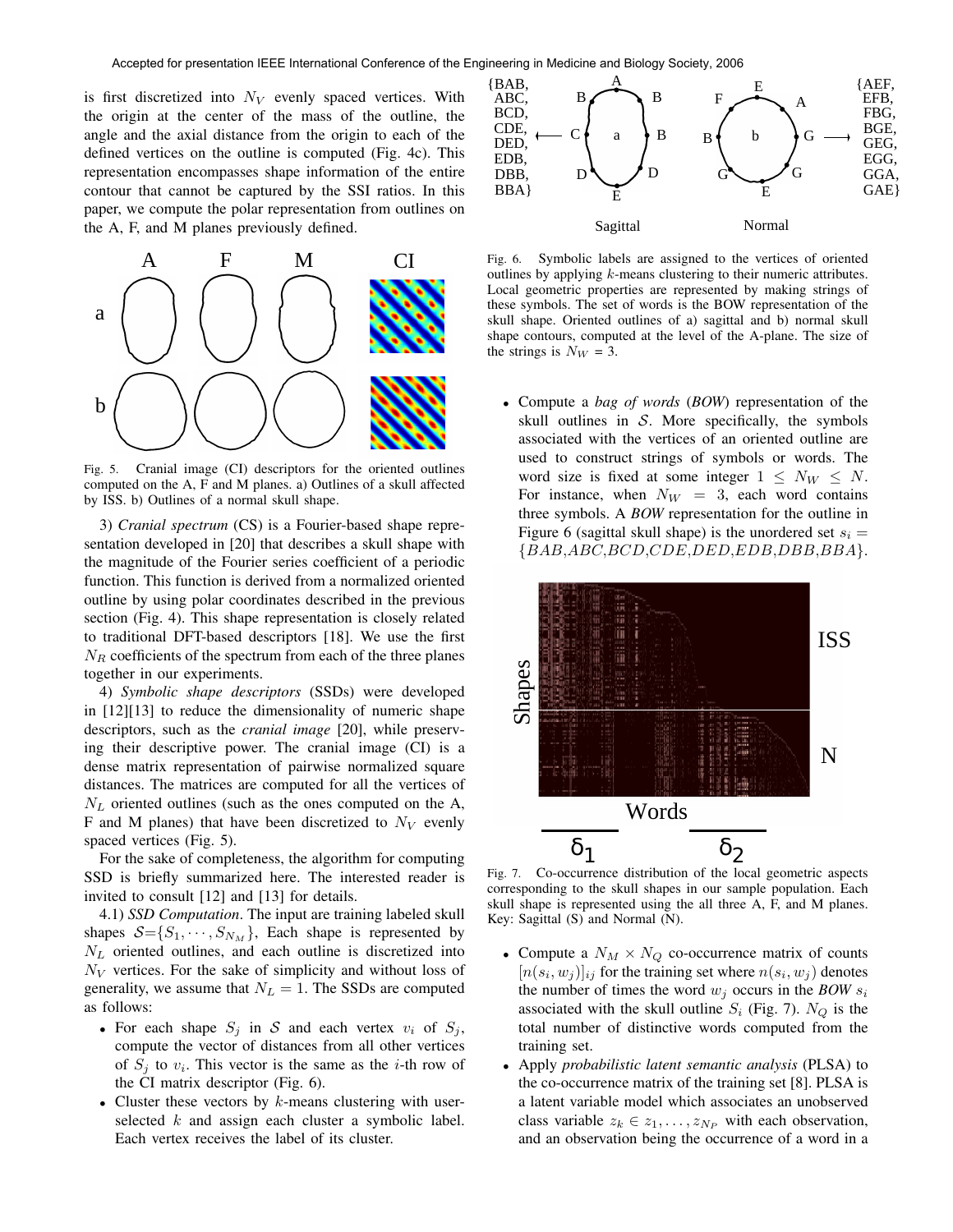is first discretized into  $N_V$  evenly spaced vertices. With the origin at the center of the mass of the outline, the angle and the axial distance from the origin to each of the defined vertices on the outline is computed (Fig. 4c). This representation encompasses shape information of the entire contour that cannot be captured by the SSI ratios. In this paper, we compute the polar representation from outlines on the A, F, and M planes previously defined.



Fig. 5. Cranial image (CI) descriptors for the oriented outlines computed on the A, F and M planes. a) Outlines of a skull affected by ISS. b) Outlines of a normal skull shape.

3) *Cranial spectrum* (CS) is a Fourier-based shape representation developed in [20] that describes a skull shape with the magnitude of the Fourier series coefficient of a periodic function. This function is derived from a normalized oriented outline by using polar coordinates described in the previous section (Fig. 4). This shape representation is closely related to traditional DFT-based descriptors [18]. We use the first  $N_R$  coefficients of the spectrum from each of the three planes together in our experiments.

4) *Symbolic shape descriptors* (SSDs) were developed in [12][13] to reduce the dimensionality of numeric shape descriptors, such as the *cranial image* [20], while preserving their descriptive power. The cranial image (CI) is a dense matrix representation of pairwise normalized square distances. The matrices are computed for all the vertices of  $N_L$  oriented outlines (such as the ones computed on the A, F and M planes) that have been discretized to  $N_V$  evenly spaced vertices (Fig. 5).

For the sake of completeness, the algorithm for computing SSD is briefly summarized here. The interested reader is invited to consult [12] and [13] for details.

4.1) *SSD Computation*. The input are training labeled skull shapes  $S = \{S_1, \dots, S_{N_M}\}\$ , Each shape is represented by  $N_L$  oriented outlines, and each outline is discretized into  $N_V$  vertices. For the sake of simplicity and without loss of generality, we assume that  $N_L = 1$ . The SSDs are computed as follows:

- For each shape  $S_j$  in S and each vertex  $v_i$  of  $S_j$ , compute the vector of distances from all other vertices of  $S_j$  to  $v_i$ . This vector is the same as the *i*-th row of the CI matrix descriptor (Fig. 6).
- Cluster these vectors by  $k$ -means clustering with userselected k and assign each cluster a symbolic label. Each vertex receives the label of its cluster.



Fig. 6. Symbolic labels are assigned to the vertices of oriented outlines by applying k-means clustering to their numeric attributes. Local geometric properties are represented by making strings of these symbols. The set of words is the BOW representation of the skull shape. Oriented outlines of a) sagittal and b) normal skull shape contours, computed at the level of the A-plane. The size of the strings is  $N_W = 3$ .

• Compute a *bag of words* (*BOW*) representation of the skull outlines in  $S$ . More specifically, the symbols associated with the vertices of an oriented outline are used to construct strings of symbols or words. The word size is fixed at some integer  $1 \leq N_W \leq N$ . For instance, when  $N_W = 3$ , each word contains three symbols. A *BOW* representation for the outline in Figure 6 (sagittal skull shape) is the unordered set  $s_i =$ {BAB,ABC,BCD,CDE,DED,EDB,DBB,BBA}.



Fig. 7. Co-occurrence distribution of the local geometric aspects corresponding to the skull shapes in our sample population. Each skull shape is represented using the all three A, F, and M planes. Key: Sagittal (S) and Normal (N).

- Compute a  $N_M \times N_Q$  co-occurrence matrix of counts  $[n(s_i, w_j)]_{ij}$  for the training set where  $n(s_i, w_j)$  denotes the number of times the word  $w_j$  occurs in the *BOW*  $s_i$ associated with the skull outline  $S_i$  (Fig. 7).  $N_Q$  is the total number of distinctive words computed from the training set.
- Apply *probabilistic latent semantic analysis* (PLSA) to the co-occurrence matrix of the training set [8]. PLSA is a latent variable model which associates an unobserved class variable  $z_k \in z_1, \ldots, z_{N_P}$  with each observation, and an observation being the occurrence of a word in a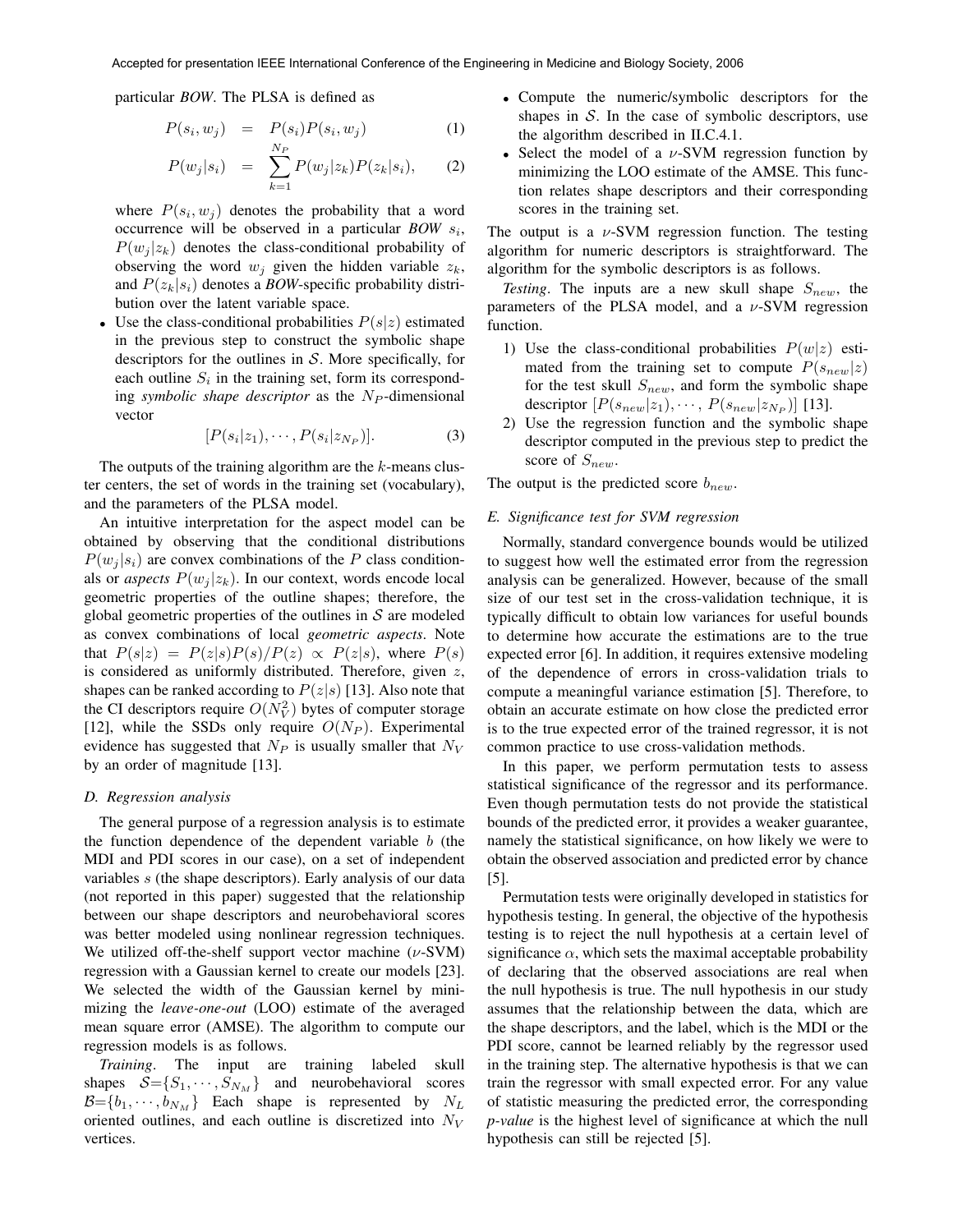particular *BOW*. The PLSA is defined as

$$
P(s_i, w_j) = P(s_i)P(s_i, w_j)
$$
 (1)

$$
P(w_j|s_i) = \sum_{k=1}^{N} P(w_j|z_k) P(z_k|s_i), \qquad (2)
$$

where  $P(s_i, w_j)$  denotes the probability that a word occurrence will be observed in a particular *BOW*  $s_i$ ,  $P(w_i | z_k)$  denotes the class-conditional probability of observing the word  $w_i$  given the hidden variable  $z_k$ , and  $P(z_k|s_i)$  denotes a *BOW*-specific probability distribution over the latent variable space.

Use the class-conditional probabilities  $P(s|z)$  estimated in the previous step to construct the symbolic shape descriptors for the outlines in  $S$ . More specifically, for each outline  $S_i$  in the training set, form its corresponding *symbolic shape descriptor* as the  $N_P$ -dimensional vector

$$
[P(s_i|z_1), \cdots, P(s_i|z_{N_P})]. \tag{3}
$$

The outputs of the training algorithm are the  $k$ -means cluster centers, the set of words in the training set (vocabulary), and the parameters of the PLSA model.

An intuitive interpretation for the aspect model can be obtained by observing that the conditional distributions  $P(w_i | s_i)$  are convex combinations of the P class conditionals or *aspects*  $P(w_i | z_k)$ . In our context, words encode local geometric properties of the outline shapes; therefore, the global geometric properties of the outlines in  $S$  are modeled as convex combinations of local *geometric aspects*. Note that  $P(s|z) = P(z|s)P(s)/P(z) \propto P(z|s)$ , where  $P(s)$ is considered as uniformly distributed. Therefore, given  $z$ , shapes can be ranked according to  $P(z|s)$  [13]. Also note that the CI descriptors require  $O(N_V^2)$  bytes of computer storage [12], while the SSDs only require  $O(N_P)$ . Experimental evidence has suggested that  $N_P$  is usually smaller that  $N_V$ by an order of magnitude [13].

## *D. Regression analysis*

The general purpose of a regression analysis is to estimate the function dependence of the dependent variable  $b$  (the MDI and PDI scores in our case), on a set of independent variables s (the shape descriptors). Early analysis of our data (not reported in this paper) suggested that the relationship between our shape descriptors and neurobehavioral scores was better modeled using nonlinear regression techniques. We utilized off-the-shelf support vector machine  $(\nu$ -SVM) regression with a Gaussian kernel to create our models [23]. We selected the width of the Gaussian kernel by minimizing the *leave-one-out* (LOO) estimate of the averaged mean square error (AMSE). The algorithm to compute our regression models is as follows.

*Training*. The input are training labeled skull shapes  $S = \{S_1, \dots, S_{N_M}\}\$  and neurobehavioral scores  $\mathcal{B} = \{b_1, \dots, b_{N_M}\}\$  Each shape is represented by  $N_L$ oriented outlines, and each outline is discretized into  $N_V$ vertices.

- Compute the numeric/symbolic descriptors for the shapes in  $S$ . In the case of symbolic descriptors, use the algorithm described in II.C.4.1.
- Select the model of a  $\nu$ -SVM regression function by minimizing the LOO estimate of the AMSE. This function relates shape descriptors and their corresponding scores in the training set.

The output is a  $\nu$ -SVM regression function. The testing algorithm for numeric descriptors is straightforward. The algorithm for the symbolic descriptors is as follows.

*Testing*. The inputs are a new skull shape  $S_{new}$ , the parameters of the PLSA model, and a  $\nu$ -SVM regression function.

- 1) Use the class-conditional probabilities  $P(w|z)$  estimated from the training set to compute  $P(s_{new}|z)$ for the test skull  $S_{new}$ , and form the symbolic shape descriptor  $[P(s_{new}|z_1), \dots, P(s_{new}|z_{N_P})]$  [13].
- 2) Use the regression function and the symbolic shape descriptor computed in the previous step to predict the score of  $S_{new}$ .

The output is the predicted score  $b_{new}$ .

### *E. Significance test for SVM regression*

Normally, standard convergence bounds would be utilized to suggest how well the estimated error from the regression analysis can be generalized. However, because of the small size of our test set in the cross-validation technique, it is typically difficult to obtain low variances for useful bounds to determine how accurate the estimations are to the true expected error [6]. In addition, it requires extensive modeling of the dependence of errors in cross-validation trials to compute a meaningful variance estimation [5]. Therefore, to obtain an accurate estimate on how close the predicted error is to the true expected error of the trained regressor, it is not common practice to use cross-validation methods.

In this paper, we perform permutation tests to assess statistical significance of the regressor and its performance. Even though permutation tests do not provide the statistical bounds of the predicted error, it provides a weaker guarantee, namely the statistical significance, on how likely we were to obtain the observed association and predicted error by chance [5].

Permutation tests were originally developed in statistics for hypothesis testing. In general, the objective of the hypothesis testing is to reject the null hypothesis at a certain level of significance  $\alpha$ , which sets the maximal acceptable probability of declaring that the observed associations are real when the null hypothesis is true. The null hypothesis in our study assumes that the relationship between the data, which are the shape descriptors, and the label, which is the MDI or the PDI score, cannot be learned reliably by the regressor used in the training step. The alternative hypothesis is that we can train the regressor with small expected error. For any value of statistic measuring the predicted error, the corresponding *p-value* is the highest level of significance at which the null hypothesis can still be rejected [5].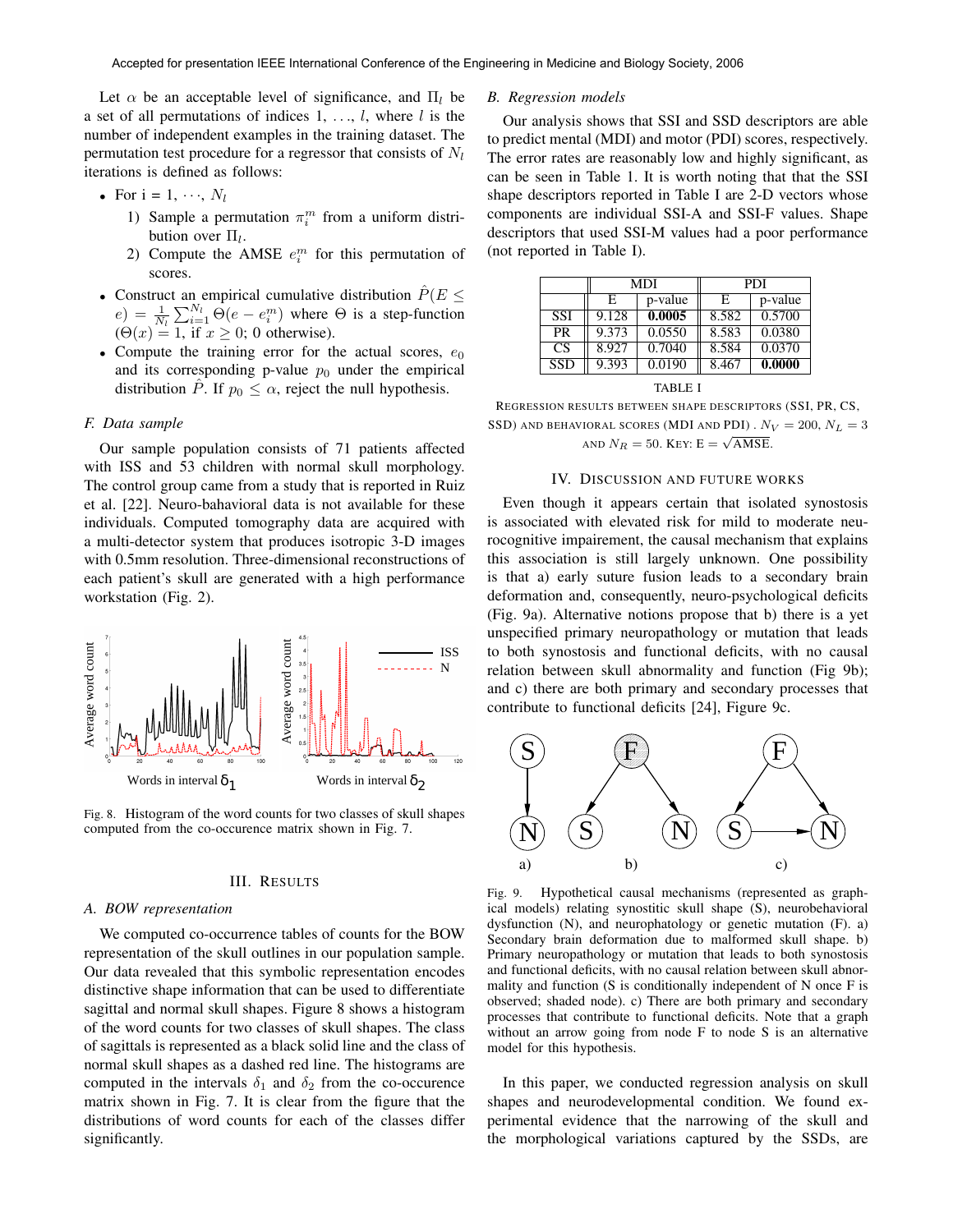Let  $\alpha$  be an acceptable level of significance, and  $\Pi_l$  be a set of all permutations of indices  $1, \ldots, l$ , where l is the number of independent examples in the training dataset. The permutation test procedure for a regressor that consists of  $N_l$ iterations is defined as follows:

- For  $i = 1, \dots, N_l$ 
	- 1) Sample a permutation  $\pi_i^m$  from a uniform distribution over  $\Pi_l$ .
	- 2) Compute the AMSE  $e_i^m$  for this permutation of scores.
- Construct an empirical cumulative distribution  $P(E \leq$  $e) = \frac{1}{N_l} \sum_{i=1}^{N_l} \hat{\Theta}(e - e_i^m)$  where  $\Theta$  is a step-function  $(\Theta(x) = 1$ , if  $x \geq 0$ ; 0 otherwise).
- Compute the training error for the actual scores,  $e_0$ and its corresponding p-value  $p_0$  under the empirical distribution P. If  $p_0 \leq \alpha$ , reject the null hypothesis.

#### *F. Data sample*

Our sample population consists of 71 patients affected with ISS and 53 children with normal skull morphology. The control group came from a study that is reported in Ruiz et al. [22]. Neuro-bahavioral data is not available for these individuals. Computed tomography data are acquired with a multi-detector system that produces isotropic 3-D images with 0.5mm resolution. Three-dimensional reconstructions of each patient's skull are generated with a high performance workstation (Fig. 2).



Fig. 8. Histogram of the word counts for two classes of skull shapes computed from the co-occurence matrix shown in Fig. 7.

#### III. RESULTS

#### *A. BOW representation*

We computed co-occurrence tables of counts for the BOW representation of the skull outlines in our population sample. Our data revealed that this symbolic representation encodes distinctive shape information that can be used to differentiate sagittal and normal skull shapes. Figure 8 shows a histogram of the word counts for two classes of skull shapes. The class of sagittals is represented as a black solid line and the class of normal skull shapes as a dashed red line. The histograms are computed in the intervals  $\delta_1$  and  $\delta_2$  from the co-occurence matrix shown in Fig. 7. It is clear from the figure that the distributions of word counts for each of the classes differ significantly.

#### *B. Regression models*

Our analysis shows that SSI and SSD descriptors are able to predict mental (MDI) and motor (PDI) scores, respectively. The error rates are reasonably low and highly significant, as can be seen in Table 1. It is worth noting that that the SSI shape descriptors reported in Table I are 2-D vectors whose components are individual SSI-A and SSI-F values. Shape descriptors that used SSI-M values had a poor performance (not reported in Table I).

|            | MDI   |         | PDI   |         |
|------------|-------|---------|-------|---------|
|            | E     | p-value | E     | p-value |
| SSI        | 9.128 | 0.0005  | 8.582 | 0.5700  |
| <b>PR</b>  | 9.373 | 0.0550  | 8.583 | 0.0380  |
| CS         | 8.927 | 0.7040  | 8.584 | 0.0370  |
| <b>SSD</b> | 9.393 | 0.0190  | 8.467 | 0.0000  |
|            |       | ------  |       |         |

| TA BL |  |
|-------|--|
|-------|--|

REGRESSION RESULTS BETWEEN SHAPE DESCRIPTORS (SSI, PR, CS, SSD) AND BEHAVIORAL SCORES (MDI AND PDI) .  $N_V = 200, N_L = 3$ AND  $N_R = 50$ . KEY:  $E = \sqrt{AMSE}$ .

## IV. DISCUSSION AND FUTURE WORKS

ISS to both synostosis and functional deficits, with no causal N relation between skull abnormality and function (Fig 9b); Even though it appears certain that isolated synostosis is associated with elevated risk for mild to moderate neurocognitive impairement, the causal mechanism that explains this association is still largely unknown. One possibility is that a) early suture fusion leads to a secondary brain deformation and, consequently, neuro-psychological deficits (Fig. 9a). Alternative notions propose that b) there is a yet unspecified primary neuropathology or mutation that leads and c) there are both primary and secondary processes that contribute to functional deficits [24], Figure 9c.



Fig. 9. Hypothetical causal mechanisms (represented as graphical models) relating synostitic skull shape (S), neurobehavioral dysfunction (N), and neurophatology or genetic mutation (F). a) Secondary brain deformation due to malformed skull shape. b) Primary neuropathology or mutation that leads to both synostosis and functional deficits, with no causal relation between skull abnormality and function (S is conditionally independent of N once F is observed; shaded node). c) There are both primary and secondary processes that contribute to functional deficits. Note that a graph without an arrow going from node F to node S is an alternative model for this hypothesis.

In this paper, we conducted regression analysis on skull shapes and neurodevelopmental condition. We found experimental evidence that the narrowing of the skull and the morphological variations captured by the SSDs, are